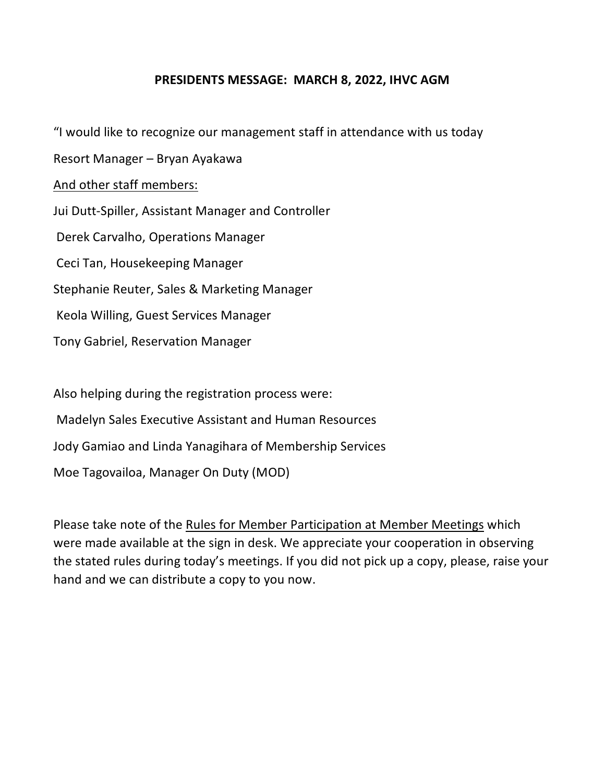## **PRESIDENTS MESSAGE: MARCH 8, 2022, IHVC AGM**

"I would like to recognize our management staff in attendance with us today Resort Manager – Bryan Ayakawa And other staff members: Jui Dutt-Spiller, Assistant Manager and Controller Derek Carvalho, Operations Manager Ceci Tan, Housekeeping Manager Stephanie Reuter, Sales & Marketing Manager Keola Willing, Guest Services Manager Tony Gabriel, Reservation Manager

Also helping during the registration process were: Madelyn Sales Executive Assistant and Human Resources Jody Gamiao and Linda Yanagihara of Membership Services Moe Tagovailoa, Manager On Duty (MOD)

Please take note of the Rules for Member Participation at Member Meetings which were made available at the sign in desk. We appreciate your cooperation in observing the stated rules during today's meetings. If you did not pick up a copy, please, raise your hand and we can distribute a copy to you now.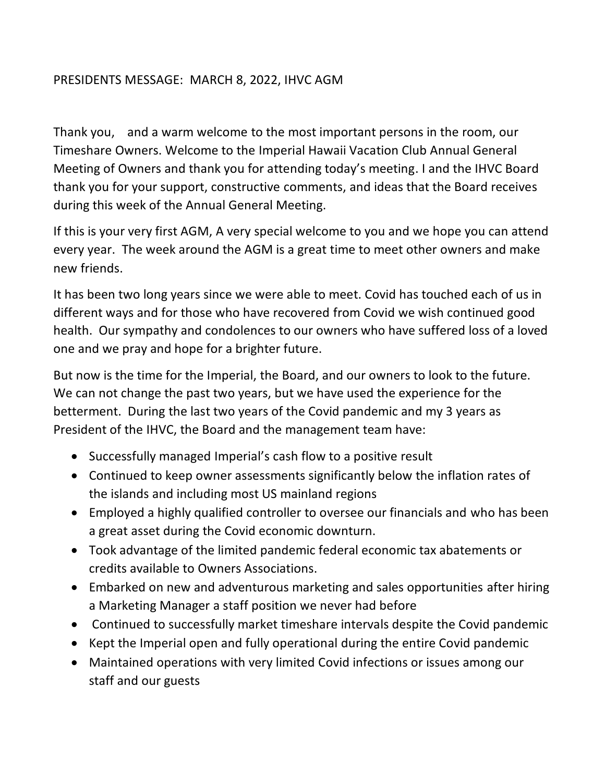## PRESIDENTS MESSAGE: MARCH 8, 2022, IHVC AGM

Thank you, and a warm welcome to the most important persons in the room, our Timeshare Owners. Welcome to the Imperial Hawaii Vacation Club Annual General Meeting of Owners and thank you for attending today's meeting. I and the IHVC Board thank you for your support, constructive comments, and ideas that the Board receives during this week of the Annual General Meeting.

If this is your very first AGM, A very special welcome to you and we hope you can attend every year. The week around the AGM is a great time to meet other owners and make new friends.

It has been two long years since we were able to meet. Covid has touched each of us in different ways and for those who have recovered from Covid we wish continued good health. Our sympathy and condolences to our owners who have suffered loss of a loved one and we pray and hope for a brighter future.

But now is the time for the Imperial, the Board, and our owners to look to the future. We can not change the past two years, but we have used the experience for the betterment. During the last two years of the Covid pandemic and my 3 years as President of the IHVC, the Board and the management team have:

- Successfully managed Imperial's cash flow to a positive result
- Continued to keep owner assessments significantly below the inflation rates of the islands and including most US mainland regions
- Employed a highly qualified controller to oversee our financials and who has been a great asset during the Covid economic downturn.
- Took advantage of the limited pandemic federal economic tax abatements or credits available to Owners Associations.
- Embarked on new and adventurous marketing and sales opportunities after hiring a Marketing Manager a staff position we never had before
- Continued to successfully market timeshare intervals despite the Covid pandemic
- Kept the Imperial open and fully operational during the entire Covid pandemic
- Maintained operations with very limited Covid infections or issues among our staff and our guests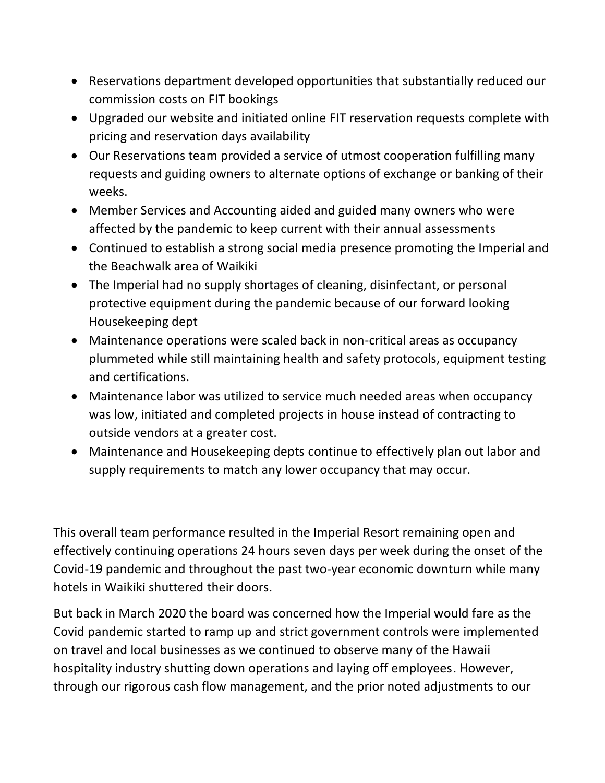- Reservations department developed opportunities that substantially reduced our commission costs on FIT bookings
- Upgraded our website and initiated online FIT reservation requests complete with pricing and reservation days availability
- Our Reservations team provided a service of utmost cooperation fulfilling many requests and guiding owners to alternate options of exchange or banking of their weeks.
- Member Services and Accounting aided and guided many owners who were affected by the pandemic to keep current with their annual assessments
- Continued to establish a strong social media presence promoting the Imperial and the Beachwalk area of Waikiki
- The Imperial had no supply shortages of cleaning, disinfectant, or personal protective equipment during the pandemic because of our forward looking Housekeeping dept
- Maintenance operations were scaled back in non-critical areas as occupancy plummeted while still maintaining health and safety protocols, equipment testing and certifications.
- Maintenance labor was utilized to service much needed areas when occupancy was low, initiated and completed projects in house instead of contracting to outside vendors at a greater cost.
- Maintenance and Housekeeping depts continue to effectively plan out labor and supply requirements to match any lower occupancy that may occur.

This overall team performance resulted in the Imperial Resort remaining open and effectively continuing operations 24 hours seven days per week during the onset of the Covid-19 pandemic and throughout the past two-year economic downturn while many hotels in Waikiki shuttered their doors.

But back in March 2020 the board was concerned how the Imperial would fare as the Covid pandemic started to ramp up and strict government controls were implemented on travel and local businesses as we continued to observe many of the Hawaii hospitality industry shutting down operations and laying off employees. However, through our rigorous cash flow management, and the prior noted adjustments to our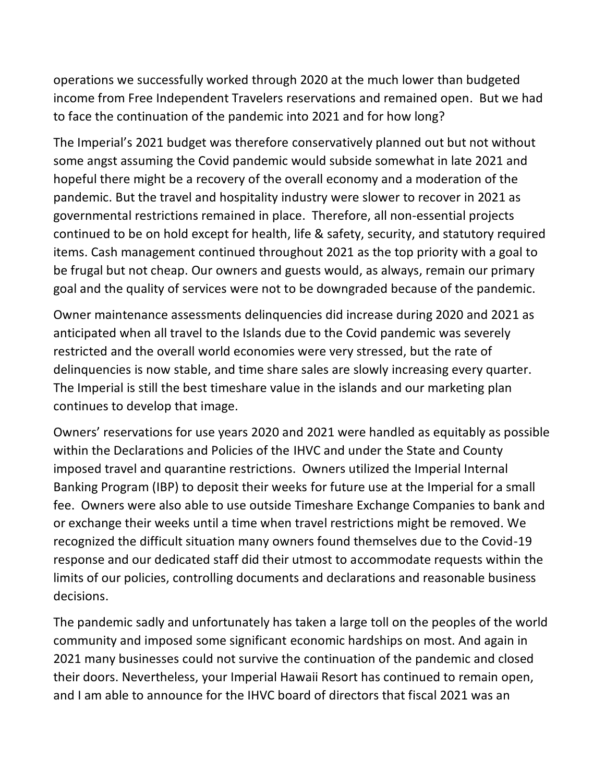operations we successfully worked through 2020 at the much lower than budgeted income from Free Independent Travelers reservations and remained open. But we had to face the continuation of the pandemic into 2021 and for how long?

The Imperial's 2021 budget was therefore conservatively planned out but not without some angst assuming the Covid pandemic would subside somewhat in late 2021 and hopeful there might be a recovery of the overall economy and a moderation of the pandemic. But the travel and hospitality industry were slower to recover in 2021 as governmental restrictions remained in place. Therefore, all non-essential projects continued to be on hold except for health, life & safety, security, and statutory required items. Cash management continued throughout 2021 as the top priority with a goal to be frugal but not cheap. Our owners and guests would, as always, remain our primary goal and the quality of services were not to be downgraded because of the pandemic.

Owner maintenance assessments delinquencies did increase during 2020 and 2021 as anticipated when all travel to the Islands due to the Covid pandemic was severely restricted and the overall world economies were very stressed, but the rate of delinquencies is now stable, and time share sales are slowly increasing every quarter. The Imperial is still the best timeshare value in the islands and our marketing plan continues to develop that image.

Owners' reservations for use years 2020 and 2021 were handled as equitably as possible within the Declarations and Policies of the IHVC and under the State and County imposed travel and quarantine restrictions. Owners utilized the Imperial Internal Banking Program (IBP) to deposit their weeks for future use at the Imperial for a small fee. Owners were also able to use outside Timeshare Exchange Companies to bank and or exchange their weeks until a time when travel restrictions might be removed. We recognized the difficult situation many owners found themselves due to the Covid-19 response and our dedicated staff did their utmost to accommodate requests within the limits of our policies, controlling documents and declarations and reasonable business decisions.

The pandemic sadly and unfortunately has taken a large toll on the peoples of the world community and imposed some significant economic hardships on most. And again in 2021 many businesses could not survive the continuation of the pandemic and closed their doors. Nevertheless, your Imperial Hawaii Resort has continued to remain open, and I am able to announce for the IHVC board of directors that fiscal 2021 was an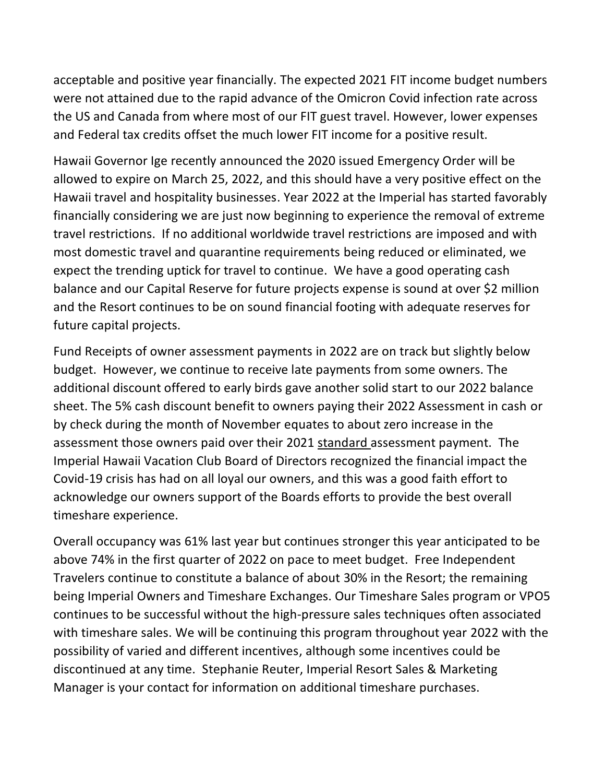acceptable and positive year financially. The expected 2021 FIT income budget numbers were not attained due to the rapid advance of the Omicron Covid infection rate across the US and Canada from where most of our FIT guest travel. However, lower expenses and Federal tax credits offset the much lower FIT income for a positive result.

Hawaii Governor Ige recently announced the 2020 issued Emergency Order will be allowed to expire on March 25, 2022, and this should have a very positive effect on the Hawaii travel and hospitality businesses. Year 2022 at the Imperial has started favorably financially considering we are just now beginning to experience the removal of extreme travel restrictions. If no additional worldwide travel restrictions are imposed and with most domestic travel and quarantine requirements being reduced or eliminated, we expect the trending uptick for travel to continue. We have a good operating cash balance and our Capital Reserve for future projects expense is sound at over \$2 million and the Resort continues to be on sound financial footing with adequate reserves for future capital projects.

Fund Receipts of owner assessment payments in 2022 are on track but slightly below budget. However, we continue to receive late payments from some owners. The additional discount offered to early birds gave another solid start to our 2022 balance sheet. The 5% cash discount benefit to owners paying their 2022 Assessment in cash or by check during the month of November equates to about zero increase in the assessment those owners paid over their 2021 standard assessment payment. The Imperial Hawaii Vacation Club Board of Directors recognized the financial impact the Covid-19 crisis has had on all loyal our owners, and this was a good faith effort to acknowledge our owners support of the Boards efforts to provide the best overall timeshare experience.

Overall occupancy was 61% last year but continues stronger this year anticipated to be above 74% in the first quarter of 2022 on pace to meet budget. Free Independent Travelers continue to constitute a balance of about 30% in the Resort; the remaining being Imperial Owners and Timeshare Exchanges. Our Timeshare Sales program or VPO5 continues to be successful without the high-pressure sales techniques often associated with timeshare sales. We will be continuing this program throughout year 2022 with the possibility of varied and different incentives, although some incentives could be discontinued at any time. Stephanie Reuter, Imperial Resort Sales & Marketing Manager is your contact for information on additional timeshare purchases.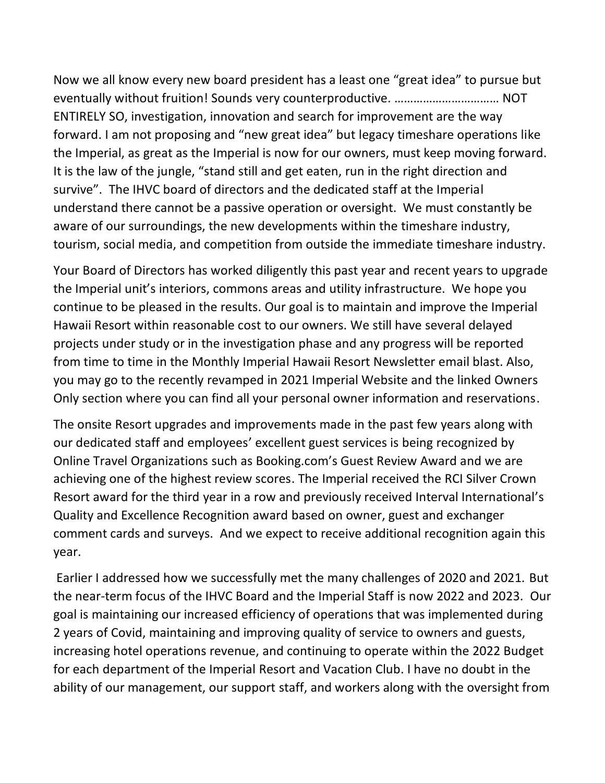Now we all know every new board president has a least one "great idea" to pursue but eventually without fruition! Sounds very counterproductive. …………………………… NOT ENTIRELY SO, investigation, innovation and search for improvement are the way forward. I am not proposing and "new great idea" but legacy timeshare operations like the Imperial, as great as the Imperial is now for our owners, must keep moving forward. It is the law of the jungle, "stand still and get eaten, run in the right direction and survive". The IHVC board of directors and the dedicated staff at the Imperial understand there cannot be a passive operation or oversight. We must constantly be aware of our surroundings, the new developments within the timeshare industry, tourism, social media, and competition from outside the immediate timeshare industry.

Your Board of Directors has worked diligently this past year and recent years to upgrade the Imperial unit's interiors, commons areas and utility infrastructure. We hope you continue to be pleased in the results. Our goal is to maintain and improve the Imperial Hawaii Resort within reasonable cost to our owners. We still have several delayed projects under study or in the investigation phase and any progress will be reported from time to time in the Monthly Imperial Hawaii Resort Newsletter email blast. Also, you may go to the recently revamped in 2021 Imperial Website and the linked Owners Only section where you can find all your personal owner information and reservations.

The onsite Resort upgrades and improvements made in the past few years along with our dedicated staff and employees' excellent guest services is being recognized by Online Travel Organizations such as Booking.com's Guest Review Award and we are achieving one of the highest review scores. The Imperial received the RCI Silver Crown Resort award for the third year in a row and previously received Interval International's Quality and Excellence Recognition award based on owner, guest and exchanger comment cards and surveys. And we expect to receive additional recognition again this year.

Earlier I addressed how we successfully met the many challenges of 2020 and 2021. But the near-term focus of the IHVC Board and the Imperial Staff is now 2022 and 2023. Our goal is maintaining our increased efficiency of operations that was implemented during 2 years of Covid, maintaining and improving quality of service to owners and guests, increasing hotel operations revenue, and continuing to operate within the 2022 Budget for each department of the Imperial Resort and Vacation Club. I have no doubt in the ability of our management, our support staff, and workers along with the oversight from